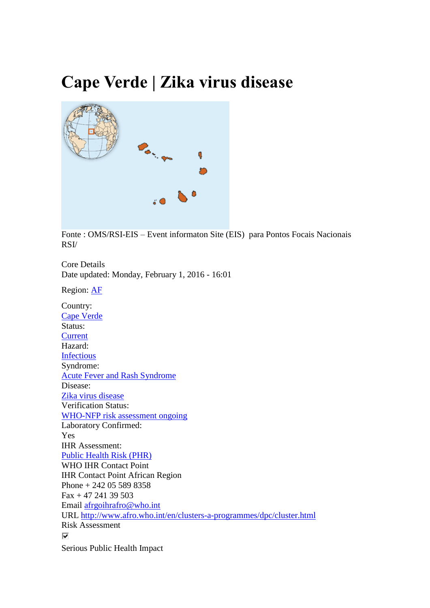## **Cape Verde | Zika virus disease**



Fonte : OMS/RSI-EIS – Event informaton Site (EIS) para Pontos Focais Nacionais RSI/

Core Details Date updated: Monday, February 1, 2016 - 16:01

Region: [AF](http://apps.who.int/ihr/eventinformation/region/african-region)

Country: [Cape Verde](http://apps.who.int/ihr/eventinformation/country/cape-verde) Status: **[Current](http://apps.who.int/ihr/eventinformation/ems-event-status/current)** Hazard: [Infectious](http://apps.who.int/ihr/eventinformation/hazard/infectious) Syndrome: [Acute Fever and Rash Syndrome](http://apps.who.int/ihr/eventinformation/syndrome/acute-fever-and-rash-syndrome) Disease: [Zika virus disease](http://apps.who.int/ihr/eventinformation/disease/zika-virus-disease) Verification Status: [WHO-NFP risk assessment ongoing](http://apps.who.int/ihr/eventinformation/verification-status/who-nfp-risk-assessment-ongoing) Laboratory Confirmed: Yes IHR Assessment: [Public Health Risk \(PHR\)](http://apps.who.int/ihr/eventinformation/ihr-assessment/public-health-risk-phr) WHO IHR Contact Point IHR Contact Point African Region Phone + 242 05 589 8358 Fax + 47 241 39 503 Email [afrgoihrafro@who.int](mailto:afrgoihrafro@who.int) URL <http://www.afro.who.int/en/clusters-a-programmes/dpc/cluster.html> Risk Assessment ⊽ Serious Public Health Impact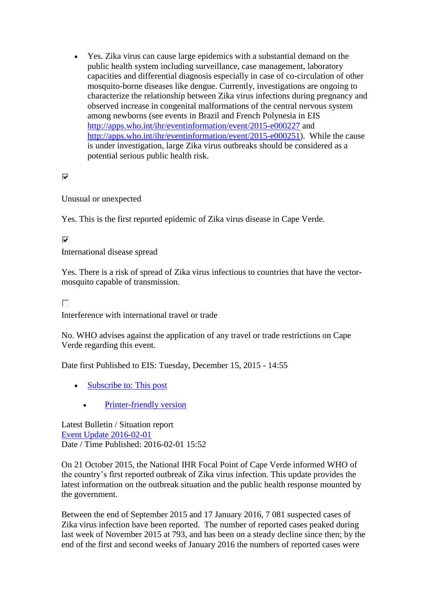Yes. Zika virus can cause large epidemics with a substantial demand on the public health system including surveillance, case management, laboratory capacities and differential diagnosis especially in case of co-circulation of other mosquito-borne diseases like dengue. Currently, investigations are ongoing to characterize the relationship between Zika virus infections during pregnancy and observed increase in congenital malformations of the central nervous system among newborns (see events in Brazil and French Polynesia in EIS <http://apps.who.int/ihr/eventinformation/event/2015-e000227> and [http://apps.who.int/ihr/eventinformation/event/2015-e000251\)](http://apps.who.int/ihr/eventinformation/event/2015-e000251). While the cause is under investigation, large Zika virus outbreaks should be considered as a potential serious public health risk.

 $\overline{\mathbf{v}}$ 

Unusual or unexpected

Yes. This is the first reported epidemic of Zika virus disease in Cape Verde.

⊽

International disease spread

Yes. There is a risk of spread of Zika virus infectious to countries that have the vectormosquito capable of transmission.

П

Interference with international travel or trade

No. WHO advises against the application of any travel or trade restrictions on Cape Verde regarding this event.

Date first Published to EIS: Tuesday, December 15, 2015 - 14:55

- [Subscribe to: This post](http://apps.who.int/ihr/eventinformation/notifications/subscribe/content_thread?0=32027&destination=node/32027×tamp=1454341287&skip=1&signature=6b595e65e2792d413ed3aaebfa970a6d)
	- [Printer-friendly version](http://apps.who.int/ihr/eventinformation/print/event/2015-e000224)

Latest Bulletin / Situation report [Event Update 2016-02-01](http://apps.who.int/ihr/eventinformation/bulletin/32207-event-update-2016-02-01) Date / Time Published: 2016-02-01 15:52

On 21 October 2015, the National IHR Focal Point of Cape Verde informed WHO of the country's first reported outbreak of Zika virus infection. This update provides the latest information on the outbreak situation and the public health response mounted by the government.

Between the end of September 2015 and 17 January 2016, 7 081 suspected cases of Zika virus infection have been reported. The number of reported cases peaked during last week of November 2015 at 793, and has been on a steady decline since then; by the end of the first and second weeks of January 2016 the numbers of reported cases were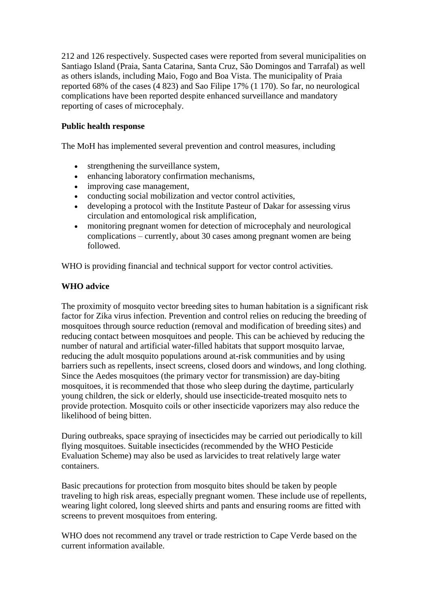212 and 126 respectively. Suspected cases were reported from several municipalities on Santiago Island (Praia, Santa Catarina, Santa Cruz, São Domingos and Tarrafal) as well as others islands, including Maio, Fogo and Boa Vista. The municipality of Praia reported 68% of the cases (4 823) and Sao Filipe 17% (1 170). So far, no neurological complications have been reported despite enhanced surveillance and mandatory reporting of cases of microcephaly.

## **Public health response**

The MoH has implemented several prevention and control measures, including

- strengthening the surveillance system,
- enhancing laboratory confirmation mechanisms,
- improving case management,
- conducting social mobilization and vector control activities,
- developing a protocol with the Institute Pasteur of Dakar for assessing virus circulation and entomological risk amplification,
- monitoring pregnant women for detection of microcephaly and neurological complications – currently, about 30 cases among pregnant women are being followed.

WHO is providing financial and technical support for vector control activities.

## **WHO advice**

The proximity of mosquito vector breeding sites to human habitation is a significant risk factor for Zika virus infection. Prevention and control relies on reducing the breeding of mosquitoes through source reduction (removal and modification of breeding sites) and reducing contact between mosquitoes and people. This can be achieved by reducing the number of natural and artificial water-filled habitats that support mosquito larvae, reducing the adult mosquito populations around at-risk communities and by using barriers such as repellents, insect screens, closed doors and windows, and long clothing. Since the Aedes mosquitoes (the primary vector for transmission) are day-biting mosquitoes, it is recommended that those who sleep during the daytime, particularly young children, the sick or elderly, should use insecticide-treated mosquito nets to provide protection. Mosquito coils or other insecticide vaporizers may also reduce the likelihood of being bitten.

During outbreaks, space spraying of insecticides may be carried out periodically to kill flying mosquitoes. Suitable insecticides (recommended by the WHO Pesticide Evaluation Scheme) may also be used as larvicides to treat relatively large water containers.

Basic precautions for protection from mosquito bites should be taken by people traveling to high risk areas, especially pregnant women. These include use of repellents, wearing light colored, long sleeved shirts and pants and ensuring rooms are fitted with screens to prevent mosquitoes from entering.

WHO does not recommend any travel or trade restriction to Cape Verde based on the current information available.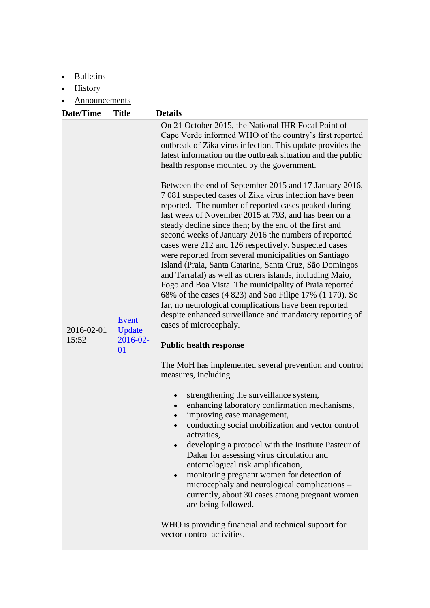- [Bulletins](http://apps.who.int/ihr/eventinformation/event/2015-e000224?qt-event_detail_tabs=4#qt-event_detail_tabs)
- [History](http://apps.who.int/ihr/eventinformation/event/2015-e000224?qt-event_detail_tabs=5#qt-event_detail_tabs)

[Announcements](http://apps.who.int/ihr/eventinformation/event/2015-e000224?qt-event_detail_tabs=6#qt-event_detail_tabs)

| <b>Date/Time</b>    | <b>Title</b>                                  | <b>Details</b>                                                                                                                                                                                                                                                                                                                                                                                                                                                                                                                                                                                                                                                                                                                                                                                                                                                                                   |
|---------------------|-----------------------------------------------|--------------------------------------------------------------------------------------------------------------------------------------------------------------------------------------------------------------------------------------------------------------------------------------------------------------------------------------------------------------------------------------------------------------------------------------------------------------------------------------------------------------------------------------------------------------------------------------------------------------------------------------------------------------------------------------------------------------------------------------------------------------------------------------------------------------------------------------------------------------------------------------------------|
|                     |                                               | On 21 October 2015, the National IHR Focal Point of<br>Cape Verde informed WHO of the country's first reported<br>outbreak of Zika virus infection. This update provides the<br>latest information on the outbreak situation and the public<br>health response mounted by the government.                                                                                                                                                                                                                                                                                                                                                                                                                                                                                                                                                                                                        |
| 2016-02-01<br>15:52 | Event<br><b>Update</b><br>$2016 - 02 -$<br>01 | Between the end of September 2015 and 17 January 2016,<br>7 081 suspected cases of Zika virus infection have been<br>reported. The number of reported cases peaked during<br>last week of November 2015 at 793, and has been on a<br>steady decline since then; by the end of the first and<br>second weeks of January 2016 the numbers of reported<br>cases were 212 and 126 respectively. Suspected cases<br>were reported from several municipalities on Santiago<br>Island (Praia, Santa Catarina, Santa Cruz, São Domingos<br>and Tarrafal) as well as others islands, including Maio,<br>Fogo and Boa Vista. The municipality of Praia reported<br>68% of the cases (4 823) and Sao Filipe 17% (1 170). So<br>far, no neurological complications have been reported<br>despite enhanced surveillance and mandatory reporting of<br>cases of microcephaly.<br><b>Public health response</b> |
|                     |                                               | The MoH has implemented several prevention and control<br>measures, including                                                                                                                                                                                                                                                                                                                                                                                                                                                                                                                                                                                                                                                                                                                                                                                                                    |

- strengthening the surveillance system,
- enhancing laboratory confirmation mechanisms,
- improving case management,
- conducting social mobilization and vector control activities,
- developing a protocol with the Institute Pasteur of Dakar for assessing virus circulation and entomological risk amplification,
- monitoring pregnant women for detection of microcephaly and neurological complications – currently, about 30 cases among pregnant women are being followed.

WHO is providing financial and technical support for vector control activities.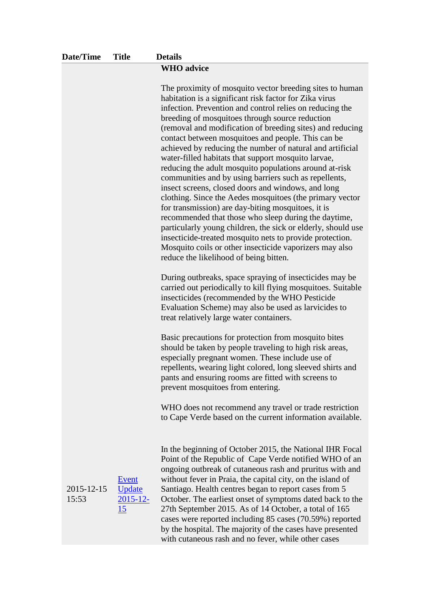| Date/Time           | <b>Title</b>                         | <b>Details</b>                                                                                                                                                                                                                                                                                                                                                                                                                                                                                                                                                                                                                                                                                                                                                                                                                                                                                                                                                                                                                                               |
|---------------------|--------------------------------------|--------------------------------------------------------------------------------------------------------------------------------------------------------------------------------------------------------------------------------------------------------------------------------------------------------------------------------------------------------------------------------------------------------------------------------------------------------------------------------------------------------------------------------------------------------------------------------------------------------------------------------------------------------------------------------------------------------------------------------------------------------------------------------------------------------------------------------------------------------------------------------------------------------------------------------------------------------------------------------------------------------------------------------------------------------------|
|                     |                                      | <b>WHO</b> advice                                                                                                                                                                                                                                                                                                                                                                                                                                                                                                                                                                                                                                                                                                                                                                                                                                                                                                                                                                                                                                            |
|                     |                                      | The proximity of mosquito vector breeding sites to human<br>habitation is a significant risk factor for Zika virus<br>infection. Prevention and control relies on reducing the<br>breeding of mosquitoes through source reduction<br>(removal and modification of breeding sites) and reducing<br>contact between mosquitoes and people. This can be<br>achieved by reducing the number of natural and artificial<br>water-filled habitats that support mosquito larvae,<br>reducing the adult mosquito populations around at-risk<br>communities and by using barriers such as repellents,<br>insect screens, closed doors and windows, and long<br>clothing. Since the Aedes mosquitoes (the primary vector<br>for transmission) are day-biting mosquitoes, it is<br>recommended that those who sleep during the daytime,<br>particularly young children, the sick or elderly, should use<br>insecticide-treated mosquito nets to provide protection.<br>Mosquito coils or other insecticide vaporizers may also<br>reduce the likelihood of being bitten. |
|                     |                                      | During outbreaks, space spraying of insecticides may be<br>carried out periodically to kill flying mosquitoes. Suitable<br>insecticides (recommended by the WHO Pesticide<br>Evaluation Scheme) may also be used as larvicides to<br>treat relatively large water containers.                                                                                                                                                                                                                                                                                                                                                                                                                                                                                                                                                                                                                                                                                                                                                                                |
|                     |                                      | Basic precautions for protection from mosquito bites<br>should be taken by people traveling to high risk areas,<br>especially pregnant women. These include use of<br>repellents, wearing light colored, long sleeved shirts and<br>pants and ensuring rooms are fitted with screens to<br>prevent mosquitoes from entering.                                                                                                                                                                                                                                                                                                                                                                                                                                                                                                                                                                                                                                                                                                                                 |
|                     |                                      | WHO does not recommend any travel or trade restriction<br>to Cape Verde based on the current information available.                                                                                                                                                                                                                                                                                                                                                                                                                                                                                                                                                                                                                                                                                                                                                                                                                                                                                                                                          |
| 2015-12-15<br>15:53 | Event<br>Update<br>$2015 - 12$<br>15 | In the beginning of October 2015, the National IHR Focal<br>Point of the Republic of Cape Verde notified WHO of an<br>ongoing outbreak of cutaneous rash and pruritus with and<br>without fever in Praia, the capital city, on the island of<br>Santiago. Health centres began to report cases from 5<br>October. The earliest onset of symptoms dated back to the<br>27th September 2015. As of 14 October, a total of 165<br>cases were reported including 85 cases (70.59%) reported<br>by the hospital. The majority of the cases have presented                                                                                                                                                                                                                                                                                                                                                                                                                                                                                                         |

with cutaneous rash and no fever, while other cases